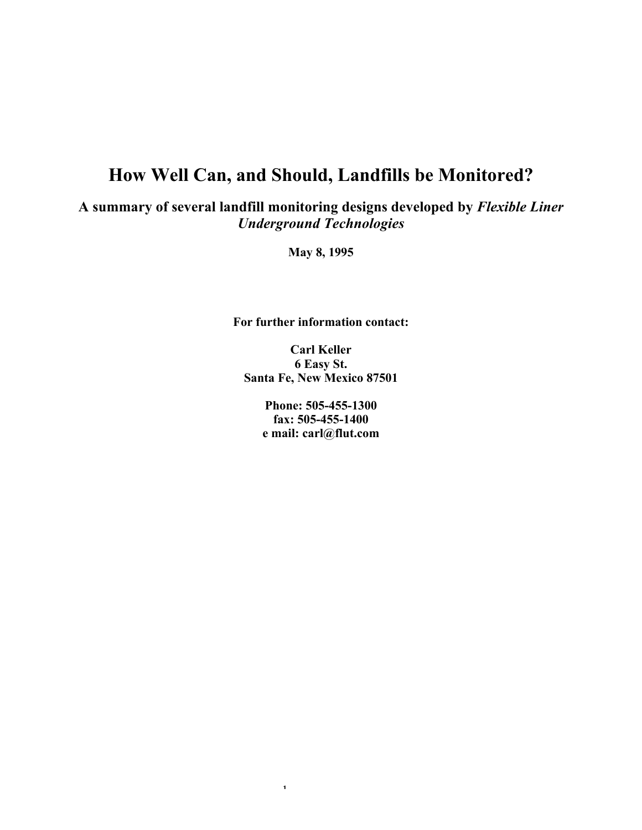# **How Well Can, and Should, Landfills be Monitored?**

**A summary of several landfill monitoring designs developed by** *Flexible Liner Underground Technologies*

**May 8, 1995**

**For further information contact:**

**Carl Keller 6 Easy St. Santa Fe, New Mexico 87501**

> **Phone: 505-455-1300 fax: 505-455-1400 e mail: carl@flut.com**

> > 1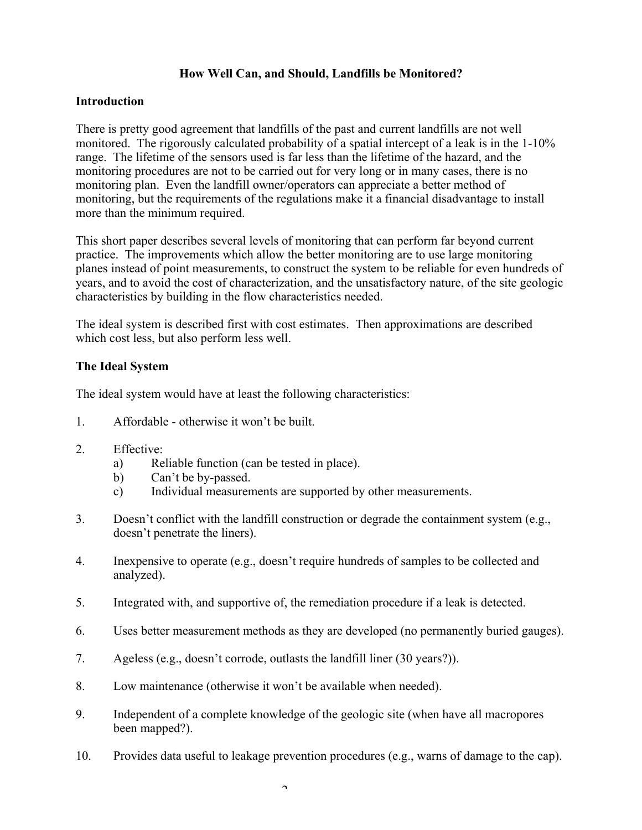## **How Well Can, and Should, Landfills be Monitored?**

#### **Introduction**

There is pretty good agreement that landfills of the past and current landfills are not well monitored. The rigorously calculated probability of a spatial intercept of a leak is in the 1-10% range. The lifetime of the sensors used is far less than the lifetime of the hazard, and the monitoring procedures are not to be carried out for very long or in many cases, there is no monitoring plan. Even the landfill owner/operators can appreciate a better method of monitoring, but the requirements of the regulations make it a financial disadvantage to install more than the minimum required.

This short paper describes several levels of monitoring that can perform far beyond current practice. The improvements which allow the better monitoring are to use large monitoring planes instead of point measurements, to construct the system to be reliable for even hundreds of years, and to avoid the cost of characterization, and the unsatisfactory nature, of the site geologic characteristics by building in the flow characteristics needed.

The ideal system is described first with cost estimates. Then approximations are described which cost less, but also perform less well.

### **The Ideal System**

The ideal system would have at least the following characteristics:

- 1. Affordable otherwise it won't be built.
- 2. Effective:
	- a) Reliable function (can be tested in place).
	- b) Can't be by-passed.
	- c) Individual measurements are supported by other measurements.
- 3. Doesn't conflict with the landfill construction or degrade the containment system (e.g., doesn't penetrate the liners).
- 4. Inexpensive to operate (e.g., doesn't require hundreds of samples to be collected and analyzed).
- 5. Integrated with, and supportive of, the remediation procedure if a leak is detected.
- 6. Uses better measurement methods as they are developed (no permanently buried gauges).
- 7. Ageless (e.g., doesn't corrode, outlasts the landfill liner (30 years?)).
- 8. Low maintenance (otherwise it won't be available when needed).
- 9. Independent of a complete knowledge of the geologic site (when have all macropores been mapped?).
- 10. Provides data useful to leakage prevention procedures (e.g., warns of damage to the cap).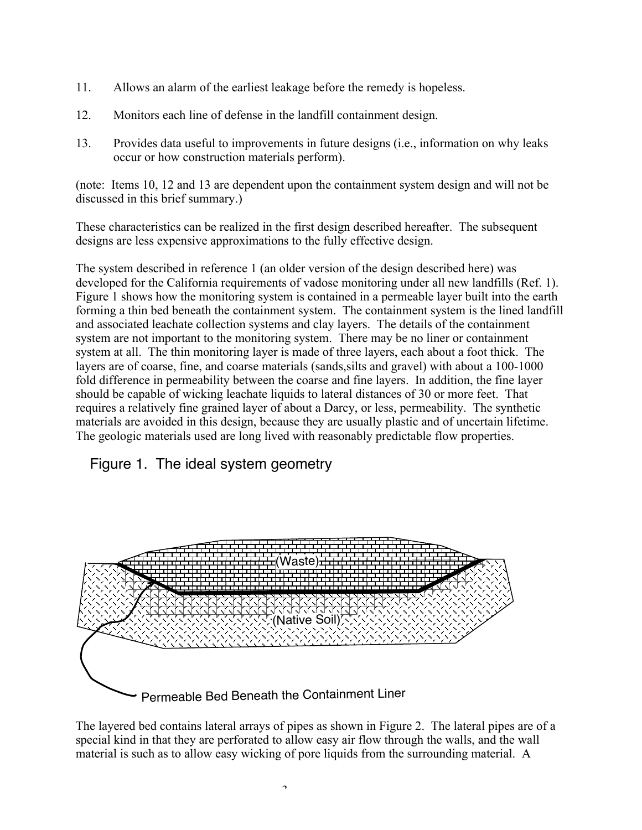- 11. Allows an alarm of the earliest leakage before the remedy is hopeless.
- 12. Monitors each line of defense in the landfill containment design.
- 13. Provides data useful to improvements in future designs (i.e., information on why leaks occur or how construction materials perform).

(note: Items 10, 12 and 13 are dependent upon the containment system design and will not be discussed in this brief summary.)

These characteristics can be realized in the first design described hereafter. The subsequent designs are less expensive approximations to the fully effective design.

The system described in reference 1 (an older version of the design described here) was developed for the California requirements of vadose monitoring under all new landfills (Ref. 1). Figure 1 shows how the monitoring system is contained in a permeable layer built into the earth forming a thin bed beneath the containment system. The containment system is the lined landfill and associated leachate collection systems and clay layers. The details of the containment system are not important to the monitoring system. There may be no liner or containment system at all. The thin monitoring layer is made of three layers, each about a foot thick. The layers are of coarse, fine, and coarse materials (sands,silts and gravel) with about a 100-1000 fold difference in permeability between the coarse and fine layers. In addition, the fine layer should be capable of wicking leachate liquids to lateral distances of 30 or more feet. That requires a relatively fine grained layer of about a Darcy, or less, permeability. The synthetic materials are avoided in this design, because they are usually plastic and of uncertain lifetime. The geologic materials used are long lived with reasonably predictable flow properties.

# Figure 1. The ideal system geometry



The layered bed contains lateral arrays of pipes as shown in Figure 2. The lateral pipes are of a special kind in that they are perforated to allow easy air flow through the walls, and the wall material is such as to allow easy wicking of pore liquids from the surrounding material. A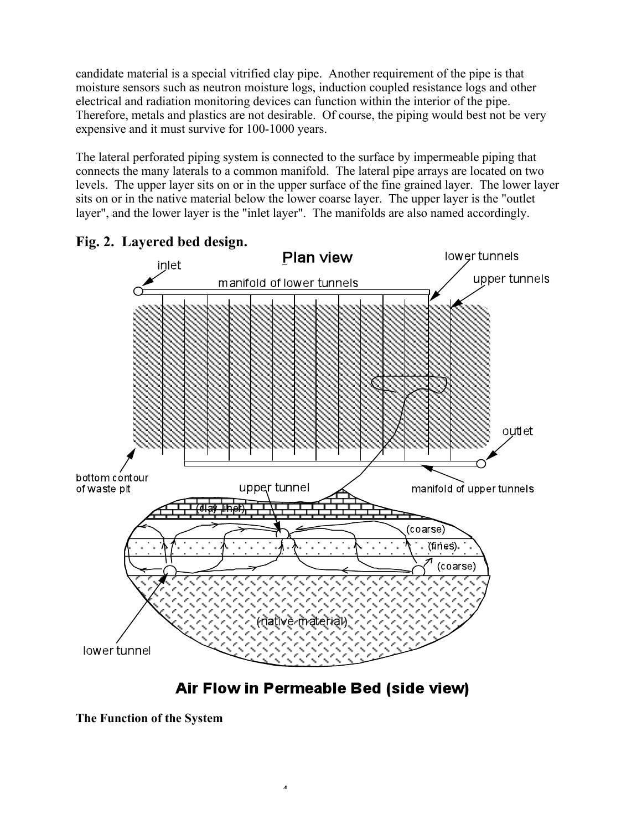candidate material is a special vitrified clay pipe. Another requirement of the pipe is that moisture sensors such as neutron moisture logs, induction coupled resistance logs and other electrical and radiation monitoring devices can function within the interior of the pipe. Therefore, metals and plastics are not desirable. Of course, the piping would best not be very expensive and it must survive for 100-1000 years.

The lateral perforated piping system is connected to the surface by impermeable piping that connects the many laterals to a common manifold. The lateral pipe arrays are located on two levels. The upper layer sits on or in the upper surface of the fine grained layer. The lower layer sits on or in the native material below the lower coarse layer. The upper layer is the "outlet layer", and the lower layer is the "inlet layer". The manifolds are also named accordingly.





Air Flow in Permeable Bed (side view)

**The Function of the System**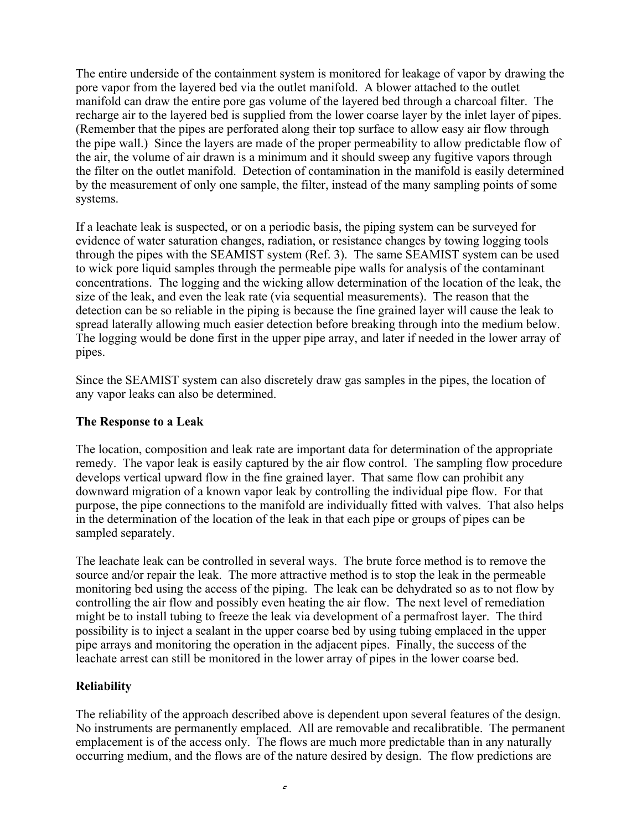The entire underside of the containment system is monitored for leakage of vapor by drawing the pore vapor from the layered bed via the outlet manifold. A blower attached to the outlet manifold can draw the entire pore gas volume of the layered bed through a charcoal filter. The recharge air to the layered bed is supplied from the lower coarse layer by the inlet layer of pipes. (Remember that the pipes are perforated along their top surface to allow easy air flow through the pipe wall.) Since the layers are made of the proper permeability to allow predictable flow of the air, the volume of air drawn is a minimum and it should sweep any fugitive vapors through the filter on the outlet manifold. Detection of contamination in the manifold is easily determined by the measurement of only one sample, the filter, instead of the many sampling points of some systems.

If a leachate leak is suspected, or on a periodic basis, the piping system can be surveyed for evidence of water saturation changes, radiation, or resistance changes by towing logging tools through the pipes with the SEAMIST system (Ref. 3). The same SEAMIST system can be used to wick pore liquid samples through the permeable pipe walls for analysis of the contaminant concentrations. The logging and the wicking allow determination of the location of the leak, the size of the leak, and even the leak rate (via sequential measurements). The reason that the detection can be so reliable in the piping is because the fine grained layer will cause the leak to spread laterally allowing much easier detection before breaking through into the medium below. The logging would be done first in the upper pipe array, and later if needed in the lower array of pipes.

Since the SEAMIST system can also discretely draw gas samples in the pipes, the location of any vapor leaks can also be determined.

#### **The Response to a Leak**

The location, composition and leak rate are important data for determination of the appropriate remedy. The vapor leak is easily captured by the air flow control. The sampling flow procedure develops vertical upward flow in the fine grained layer. That same flow can prohibit any downward migration of a known vapor leak by controlling the individual pipe flow. For that purpose, the pipe connections to the manifold are individually fitted with valves. That also helps in the determination of the location of the leak in that each pipe or groups of pipes can be sampled separately.

The leachate leak can be controlled in several ways. The brute force method is to remove the source and/or repair the leak. The more attractive method is to stop the leak in the permeable monitoring bed using the access of the piping. The leak can be dehydrated so as to not flow by controlling the air flow and possibly even heating the air flow. The next level of remediation might be to install tubing to freeze the leak via development of a permafrost layer. The third possibility is to inject a sealant in the upper coarse bed by using tubing emplaced in the upper pipe arrays and monitoring the operation in the adjacent pipes. Finally, the success of the leachate arrest can still be monitored in the lower array of pipes in the lower coarse bed.

# **Reliability**

The reliability of the approach described above is dependent upon several features of the design. No instruments are permanently emplaced. All are removable and recalibratible. The permanent emplacement is of the access only. The flows are much more predictable than in any naturally occurring medium, and the flows are of the nature desired by design. The flow predictions are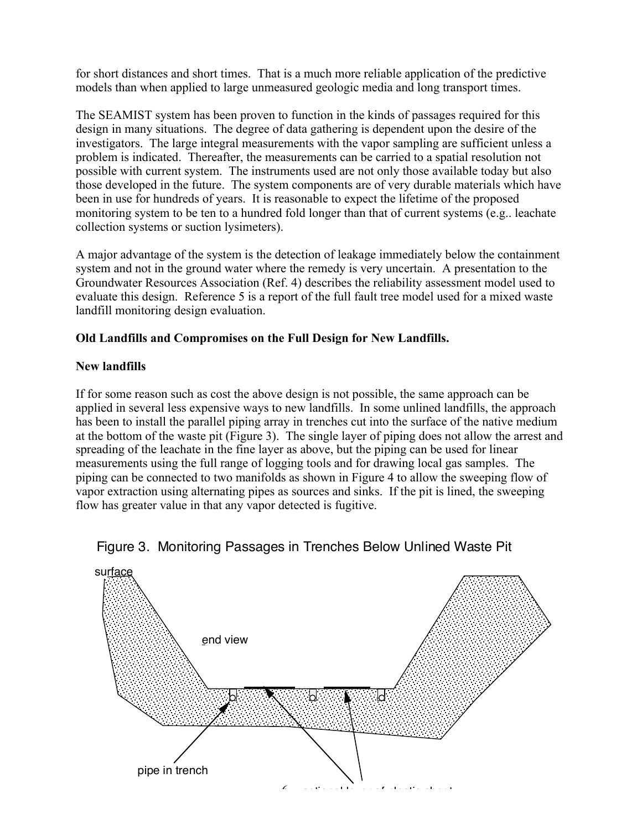for short distances and short times. That is a much more reliable application of the predictive models than when applied to large unmeasured geologic media and long transport times.

The SEAMIST system has been proven to function in the kinds of passages required for this design in many situations. The degree of data gathering is dependent upon the desire of the investigators. The large integral measurements with the vapor sampling are sufficient unless a problem is indicated. Thereafter, the measurements can be carried to a spatial resolution not possible with current system. The instruments used are not only those available today but also those developed in the future. The system components are of very durable materials which have been in use for hundreds of years. It is reasonable to expect the lifetime of the proposed monitoring system to be ten to a hundred fold longer than that of current systems (e.g.. leachate collection systems or suction lysimeters).

A major advantage of the system is the detection of leakage immediately below the containment system and not in the ground water where the remedy is very uncertain. A presentation to the Groundwater Resources Association (Ref. 4) describes the reliability assessment model used to evaluate this design. Reference 5 is a report of the full fault tree model used for a mixed waste landfill monitoring design evaluation.

# **Old Landfills and Compromises on the Full Design for New Landfills.**

# **New landfills**

If for some reason such as cost the above design is not possible, the same approach can be applied in several less expensive ways to new landfills. In some unlined landfills, the approach has been to install the parallel piping array in trenches cut into the surface of the native medium at the bottom of the waste pit (Figure 3). The single layer of piping does not allow the arrest and spreading of the leachate in the fine layer as above, but the piping can be used for linear measurements using the full range of logging tools and for drawing local gas samples. The piping can be connected to two manifolds as shown in Figure 4 to allow the sweeping flow of vapor extraction using alternating pipes as sources and sinks. If the pit is lined, the sweeping flow has greater value in that any vapor detected is fugitive.



# Figure 3. Monitoring Passages in Trenches Below Unlined Waste Pit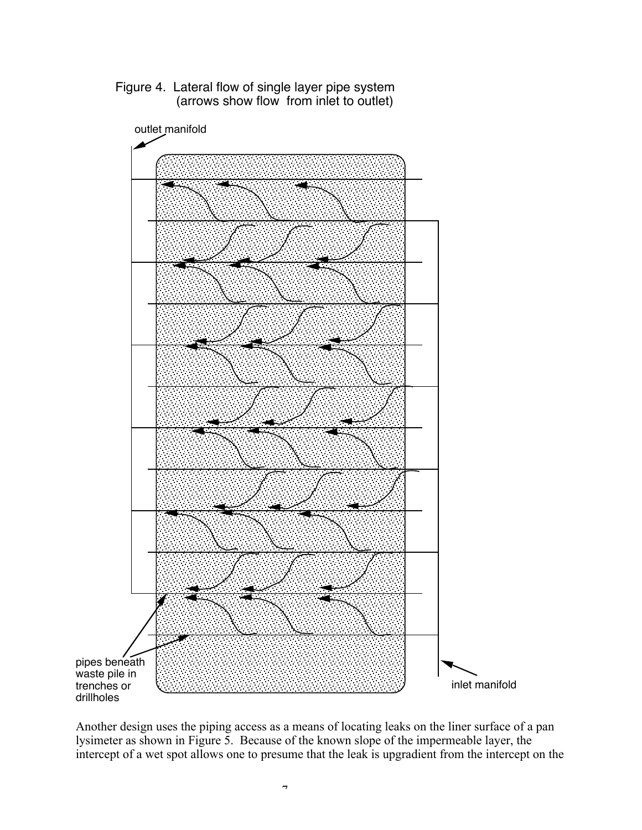

Figure 4. Lateral flow of single layer pipe system (arrows show flow from inlet to outlet)

Another design uses the piping access as a means of locating leaks on the liner surface of a pan lysimeter as shown in Figure 5. Because of the known slope of the impermeable layer, the intercept of a wet spot allows one to presume that the leak is upgradient from the intercept on the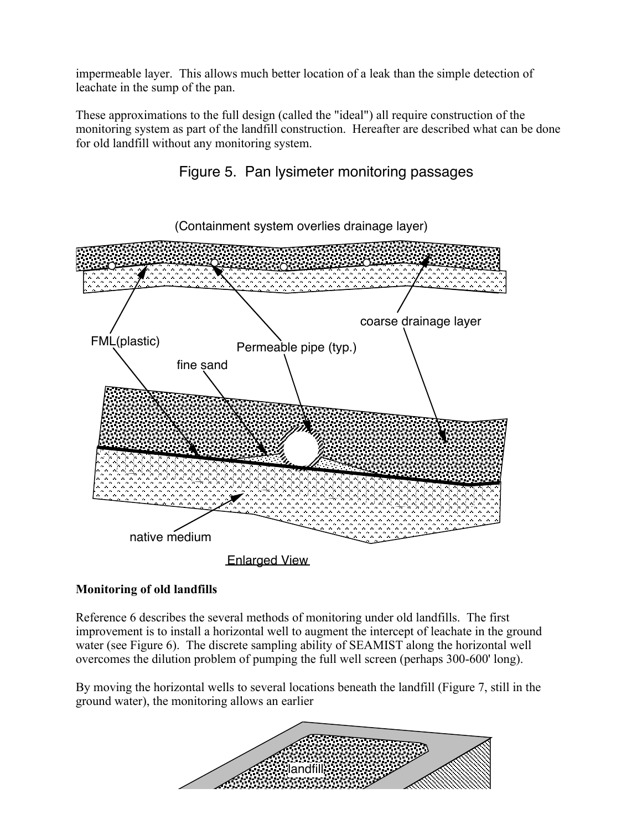impermeable layer. This allows much better location of a leak than the simple detection of leachate in the sump of the pan.

These approximations to the full design (called the "ideal") all require construction of the monitoring system as part of the landfill construction. Hereafter are described what can be done for old landfill without any monitoring system.





# **Monitoring of old landfills**

Reference 6 describes the several methods of monitoring under old landfills. The first improvement is to install a horizontal well to augment the intercept of leachate in the ground water (see Figure 6). The discrete sampling ability of SEAMIST along the horizontal well overcomes the dilution problem of pumping the full well screen (perhaps 300-600' long).

By moving the horizontal wells to several locations beneath the landfill (Figure 7, still in the ground water), the monitoring allows an earlier

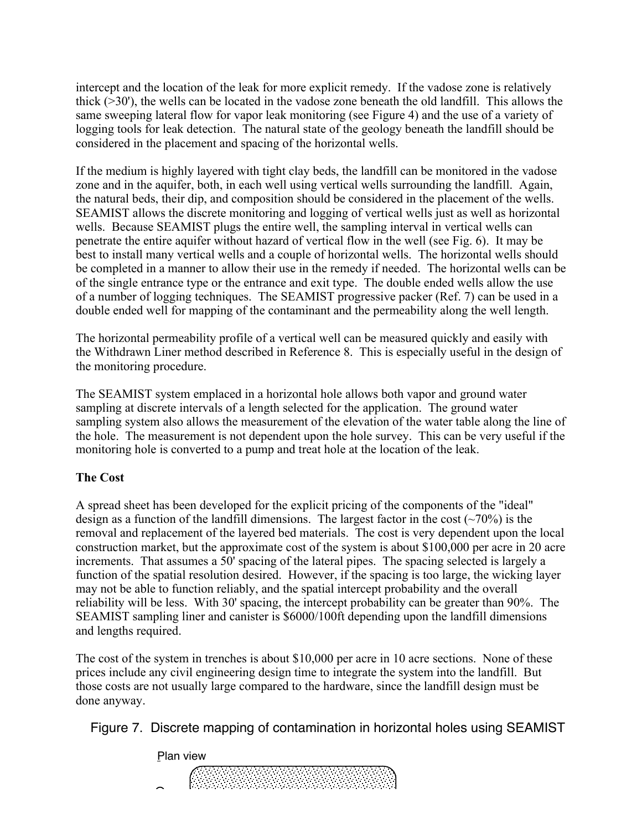intercept and the location of the leak for more explicit remedy. If the vadose zone is relatively thick (>30'), the wells can be located in the vadose zone beneath the old landfill. This allows the same sweeping lateral flow for vapor leak monitoring (see Figure 4) and the use of a variety of logging tools for leak detection. The natural state of the geology beneath the landfill should be considered in the placement and spacing of the horizontal wells.

If the medium is highly layered with tight clay beds, the landfill can be monitored in the vadose zone and in the aquifer, both, in each well using vertical wells surrounding the landfill. Again, the natural beds, their dip, and composition should be considered in the placement of the wells. SEAMIST allows the discrete monitoring and logging of vertical wells just as well as horizontal wells. Because SEAMIST plugs the entire well, the sampling interval in vertical wells can penetrate the entire aquifer without hazard of vertical flow in the well (see Fig. 6). It may be best to install many vertical wells and a couple of horizontal wells. The horizontal wells should be completed in a manner to allow their use in the remedy if needed. The horizontal wells can be of the single entrance type or the entrance and exit type. The double ended wells allow the use of a number of logging techniques. The SEAMIST progressive packer (Ref. 7) can be used in a double ended well for mapping of the contaminant and the permeability along the well length.

The horizontal permeability profile of a vertical well can be measured quickly and easily with the Withdrawn Liner method described in Reference 8. This is especially useful in the design of the monitoring procedure.

The SEAMIST system emplaced in a horizontal hole allows both vapor and ground water sampling at discrete intervals of a length selected for the application. The ground water sampling system also allows the measurement of the elevation of the water table along the line of the hole. The measurement is not dependent upon the hole survey. This can be very useful if the monitoring hole is converted to a pump and treat hole at the location of the leak.

#### **The Cost**

A spread sheet has been developed for the explicit pricing of the components of the "ideal" design as a function of the landfill dimensions. The largest factor in the cost  $(\sim 70\%)$  is the removal and replacement of the layered bed materials. The cost is very dependent upon the local construction market, but the approximate cost of the system is about \$100,000 per acre in 20 acre increments. That assumes a 50' spacing of the lateral pipes. The spacing selected is largely a function of the spatial resolution desired. However, if the spacing is too large, the wicking layer may not be able to function reliably, and the spatial intercept probability and the overall reliability will be less. With 30' spacing, the intercept probability can be greater than 90%. The SEAMIST sampling liner and canister is \$6000/100ft depending upon the landfill dimensions and lengths required.

The cost of the system in trenches is about \$10,000 per acre in 10 acre sections. None of these prices include any civil engineering design time to integrate the system into the landfill. But those costs are not usually large compared to the hardware, since the landfill design must be done anyway.

9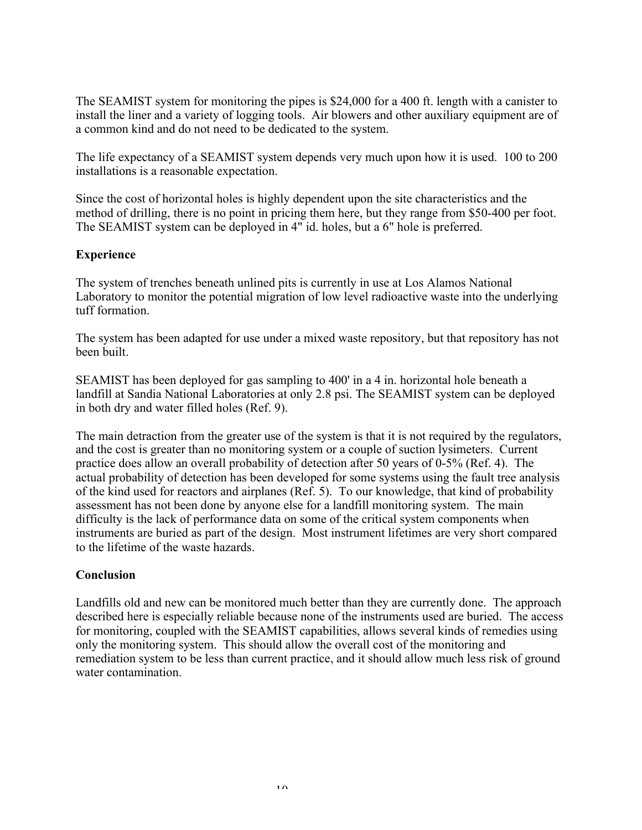The SEAMIST system for monitoring the pipes is \$24,000 for a 400 ft. length with a canister to install the liner and a variety of logging tools. Air blowers and other auxiliary equipment are of a common kind and do not need to be dedicated to the system.

The life expectancy of a SEAMIST system depends very much upon how it is used. 100 to 200 installations is a reasonable expectation.

Since the cost of horizontal holes is highly dependent upon the site characteristics and the method of drilling, there is no point in pricing them here, but they range from \$50-400 per foot. The SEAMIST system can be deployed in 4" id. holes, but a 6" hole is preferred.

#### **Experience**

The system of trenches beneath unlined pits is currently in use at Los Alamos National Laboratory to monitor the potential migration of low level radioactive waste into the underlying tuff formation.

The system has been adapted for use under a mixed waste repository, but that repository has not been built.

SEAMIST has been deployed for gas sampling to 400' in a 4 in. horizontal hole beneath a landfill at Sandia National Laboratories at only 2.8 psi. The SEAMIST system can be deployed in both dry and water filled holes (Ref. 9).

The main detraction from the greater use of the system is that it is not required by the regulators, and the cost is greater than no monitoring system or a couple of suction lysimeters. Current practice does allow an overall probability of detection after 50 years of 0-5% (Ref. 4). The actual probability of detection has been developed for some systems using the fault tree analysis of the kind used for reactors and airplanes (Ref. 5). To our knowledge, that kind of probability assessment has not been done by anyone else for a landfill monitoring system. The main difficulty is the lack of performance data on some of the critical system components when instruments are buried as part of the design. Most instrument lifetimes are very short compared to the lifetime of the waste hazards.

#### **Conclusion**

Landfills old and new can be monitored much better than they are currently done. The approach described here is especially reliable because none of the instruments used are buried. The access for monitoring, coupled with the SEAMIST capabilities, allows several kinds of remedies using only the monitoring system. This should allow the overall cost of the monitoring and remediation system to be less than current practice, and it should allow much less risk of ground water contamination.